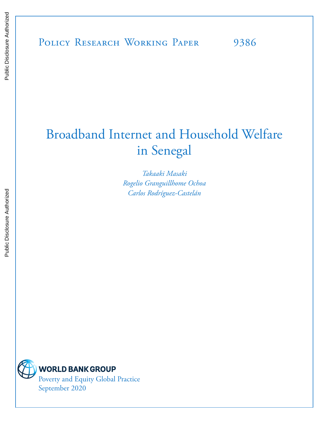# Broadband Internet and Household Welfare in Senegal

*Takaaki Masaki Rogelio Granguillhome Ochoa Carlos Rodríguez-Castelán* 



**WORLD BANK GROUP** Poverty and Equity Global Practice

September 2020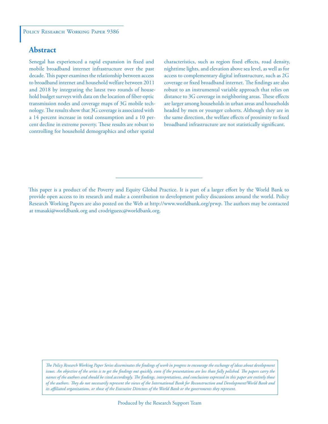# **Abstract**

Senegal has experienced a rapid expansion in fixed and mobile broadband internet infrastructure over the past decade. This paper examines the relationship between access to broadband internet and household welfare between 2011 and 2018 by integrating the latest two rounds of household budget surveys with data on the location of fiber-optic transmission nodes and coverage maps of 3G mobile technology. The results show that 3G coverage is associated with a 14 percent increase in total consumption and a 10 percent decline in extreme poverty. These results are robust to controlling for household demographics and other spatial

characteristics, such as region fixed effects, road density, nighttime lights, and elevation above sea level, as well as for access to complementary digital infrastructure, such as 2G coverage or fixed broadband internet. The findings are also robust to an instrumental variable approach that relies on distance to 3G coverage in neighboring areas. These effects are larger among households in urban areas and households headed by men or younger cohorts. Although they are in the same direction, the welfare effects of proximity to fixed broadband infrastructure are not statistically significant.

*The Policy Research Working Paper Series disseminates the findings of work in progress to encourage the exchange of ideas about development*  issues. An objective of the series is to get the findings out quickly, even if the presentations are less than fully polished. The papers carry the *names of the authors and should be cited accordingly. The findings, interpretations, and conclusions expressed in this paper are entirely those of the authors. They do not necessarily represent the views of the International Bank for Reconstruction and Development/World Bank and its affiliated organizations, or those of the Executive Directors of the World Bank or the governments they represent.*

This paper is a product of the Poverty and Equity Global Practice. It is part of a larger effort by the World Bank to provide open access to its research and make a contribution to development policy discussions around the world. Policy Research Working Papers are also posted on the Web at http://www.worldbank.org/prwp. The authors may be contacted at tmasaki@worldbank.org and crodriguezc@worldbank.org.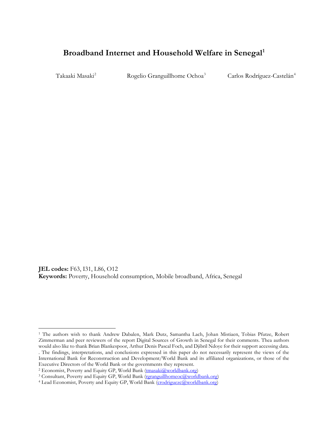# **Broadband Internet and Household Welfare in Senegal [1](#page-2-0)**

Takaaki Masaki<sup>[2](#page-2-1)</sup> Rogelio Granguillhome Ochoa<sup>[3](#page-2-2)</sup> Carlos Rodríguez-Castelán<sup>[4](#page-2-3)</sup>

**JEL codes:** F63, I31, L86, O12 **Keywords:** Poverty, Household consumption, Mobile broadband, Africa, Senegal

<span id="page-2-0"></span><sup>1</sup> The authors wish to thank Andrew Dabalen, Mark Dutz, Samantha Lach, Johan Mistiaen, Tobias Pfutze, Robert Zimmerman and peer reviewers of the report Digital Sources of Growth in Senegal for their comments. Thea authors would also like to thank Brian Blankespoor, Arthur Denis Pascal Foch, and Djibril Ndoye for their support accessing data. . The findings, interpretations, and conclusions expressed in this paper do not necessarily represent the views of the International Bank for Reconstruction and Development/World Bank and its affiliated organizations, or those of the Executive Directors of the World Bank or the governments they represent.

<span id="page-2-2"></span><span id="page-2-1"></span><sup>&</sup>lt;sup>2</sup> Economist, Poverty and Equity GP, World Bank (**tmasaki@worldbank.org**)<br><sup>3</sup> Consultant, Poverty and Equity GP, World Bank (**rgranguillhomeoc@worldbank.org**)<br><sup>4</sup> Lead Economist, Poverty and Equity GP, World Bank (*crodri* 

<span id="page-2-3"></span>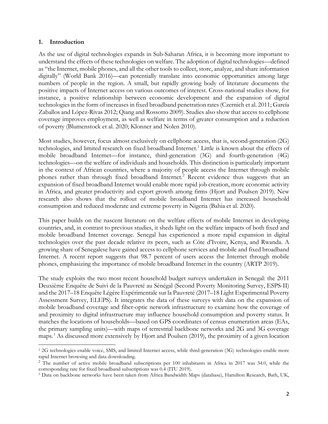#### **1. Introduction**

As the use of digital technologies expands in Sub-Saharan Africa, it is becoming more important to understand the effects of these technologies on welfare. The adoption of digital technologies—defined as "the Internet, mobile phones, and all the other tools to collect, store, analyze, and share information digitally" (World Bank 2016)—can potentially translate into economic opportunities among large numbers of people in the region. A small, but rapidly growing body of literature documents the positive impacts of Internet access on various outcomes of interest. Cross-national studies show, for instance, a positive relationship between economic development and the expansion of digital technologies in the form of increases in fixed broadband penetration rates (Czernich et al. 2011; García Zaballos and López-Rivas 2012; Qiang and Rossotto 2009). Studies also show that access to cellphone coverage improves employment, as well as welfare in terms of greater consumption and a reduction of poverty (Blumenstock et al. 2020; Klonner and Nolen 2010).

Most studies, however, focus almost exclusively on cellphone access, that is, second-generation (2G) technologies, and limited research on fixed broadband Internet.<sup>[1](#page-3-0)</sup> Little is known about the effects of mobile broadband Internet—for instance, third-generation (3G) and fourth-generation (4G) technologies—on the welfare of individuals and households. This distinction is particularly important in the context of African countries, where a majority of people access the Internet through mobile phones rather than through fixed broadband Internet.<sup>[2](#page-3-1)</sup> Recent evidence thus suggests that an expansion of fixed broadband Internet would enable more rapid job creation, more economic activity in Africa, and greater productivity and export growth among firms (Hjort and Poulsen 2019). New research also shows that the rollout of mobile broadband Internet has increased household consumption and reduced moderate and extreme poverty in Nigeria (Bahia et al. 2020).

This paper builds on the nascent literature on the welfare effects of mobile Internet in developing countries, and, in contrast to previous studies, it sheds light on the welfare impacts of both fixed and mobile broadband Internet coverage. Senegal has experienced a more rapid expansion in digital technologies over the past decade relative its peers, such as Côte d'Ivoire, Kenya, and Rwanda. A growing share of Senegalese have gained access to cellphone services and mobile and fixed broadband Internet. A recent report suggests that 98.7 percent of users access the Internet through mobile phones, emphasizing the importance of mobile broadband Internet in the country (ARTP 2019).

The study exploits the two most recent household budget surveys undertaken in Senegal: the 2011 Deuxième Enquête de Suivi de la Pauvreté au Sénégal (Second Poverty Monitoring Survey, ESPS-II) and the 2017–18 Enquête Légère Expérimentale sur la Pauvreté (2017–18 Light Experimental Poverty Assessment Survey, ELEPS). It integrates the data of these surveys with data on the expansion of mobile broadband coverage and fiber-optic network infrastructure to examine how the coverage of and proximity to digital infrastructure may influence household consumption and poverty status. It matches the locations of households—based on GPS coordinates of census enumeration areas (EAs, the primary sampling units)—with maps of terrestrial backbone networks and 2G and 3G coverage maps. [3](#page-3-2) As discussed more extensively by Hjort and Poulsen (2019), the proximity of a given location

<span id="page-3-0"></span><sup>&</sup>lt;sup>1</sup> 2G technologies enable voice, SMS, and limited Internet access, while third-generation (3G) technologies enable more rapid Internet browsing and data downloading.

<span id="page-3-1"></span><sup>&</sup>lt;sup>2</sup> The number of active mobile broadband subscriptions per 100 inhabitants in Africa in 2017 was 34.0, while the corresponding rate for fixed broadband subscriptions was 0.4 (ITU 2019).

<span id="page-3-2"></span><sup>3</sup> Data on backbone networks have been taken from Africa Bandwidth Maps (database), Hamilton Research, Bath, UK,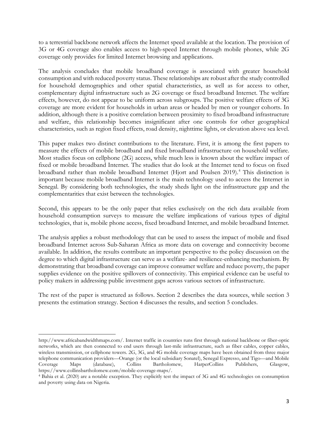to a terrestrial backbone network affects the Internet speed available at the location. The provision of 3G or 4G coverage also enables access to high-speed Internet through mobile phones, while 2G coverage only provides for limited Internet browsing and applications.

The analysis concludes that mobile broadband coverage is associated with greater household consumption and with reduced poverty status. These relationships are robust after the study controlled for household demographics and other spatial characteristics, as well as for access to other, complementary digital infrastructure such as 2G coverage or fixed broadband Internet. The welfare effects, however, do not appear to be uniform across subgroups. The positive welfare effects of 3G coverage are more evident for households in urban areas or headed by men or younger cohorts. In addition, although there is a positive correlation between proximity to fixed broadband infrastructure and welfare, this relationship becomes insignificant after one controls for other geographical characteristics, such as region fixed effects, road density, nighttime lights, or elevation above sea level.

This paper makes two distinct contributions to the literature. First, it is among the first papers to measure the effects of mobile broadband and fixed broadband infrastructure on household welfare. Most studies focus on cellphone (2G) access, while much less is known about the welfare impact of fixed or mobile broadband Internet. The studies that do look at the Internet tend to focus on fixed broadband rather than mobile broadband Internet (Hjort and Poulsen 2019). [4](#page-4-0) This distinction is important because mobile broadband Internet is the main technology used to access the Internet in Senegal. By considering both technologies, the study sheds light on the infrastructure gap and the complementarities that exist between the technologies.

Second, this appears to be the only paper that relies exclusively on the rich data available from household consumption surveys to measure the welfare implications of various types of digital technologies, that is, mobile phone access, fixed broadband Internet, and mobile broadband Internet.

The analysis applies a robust methodology that can be used to assess the impact of mobile and fixed broadband Internet across Sub-Saharan Africa as more data on coverage and connectivity become available. In addition, the results contribute an important perspective to the policy discussion on the degree to which digital infrastructure can serve as a welfare- and resilience-enhancing mechanism. By demonstrating that broadband coverage can improve consumer welfare and reduce poverty, the paper supplies evidence on the positive spillovers of connectivity. This empirical evidence can be useful to policy makers in addressing public investment gaps across various sectors of infrastructure.

The rest of the paper is structured as follows. Section 2 describes the data sources, while section 3 presents the estimation strategy. Section 4 discusses the results, and section 5 concludes.

http://www.africabandwidthmaps.com/. Internet traffic in countries runs first through national backbone or fiber-optic networks, which are then connected to end users through last-mile infrastructure, such as fiber cables, copper cables, wireless transmission, or cellphone towers. 2G, 3G, and 4G mobile coverage maps have been obtained from three major telephone communication providers—Orange (or the local subsidiary Sonatel), Senegal Expresso, and Tigo—and Mobile Coverage Maps (database), Collins Bartholomew, HarperCollins Publishers, Glasgow, https://www.collinsbartholomew.com/mobile-coverage-maps/.

<span id="page-4-0"></span><sup>4</sup> Bahia et al. (2020) are a notable exception. They explicitly test the impact of 3G and 4G technologies on consumption and poverty using data on Nigeria.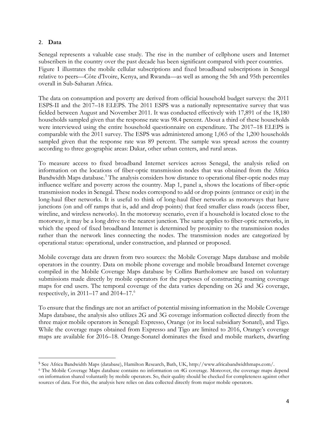### 2. **Data**

Senegal represents a valuable case study. The rise in the number of cellphone users and Internet subscribers in the country over the past decade has been significant compared with peer countries. [Figure](#page-14-0) 1 illustrates the mobile cellular subscriptions and fixed broadband subscriptions in Senegal relative to peers—Côte d'Ivoire, Kenya, and Rwanda—as well as among the 5th and 95th percentiles overall in Sub-Saharan Africa.

The data on consumption and poverty are derived from official household budget surveys: the 2011 ESPS-II and the 2017–18 ELEPS. The 2011 ESPS was a nationally representative survey that was fielded between August and November 2011. It was conducted effectively with 17,891 of the 18,180 households sampled given that the response rate was 98.4 percent. About a third of these households were interviewed using the entire household questionnaire on expenditure. The 2017–18 ELEPS is comparable with the 2011 survey. The ESPS was administered among 1,065 of the 1,200 households sampled given that the response rate was 89 percent. The sample was spread across the country according to three geographic areas: Dakar, other urban centers, and rural areas.

To measure access to fixed broadband Internet services across Senegal, the analysis relied on information on the locations of fiber-optic transmission nodes that was obtained from the Africa Bandwidth Maps database. [5](#page-5-0) The analysis considers how distance to operational fiber-optic nodes may influence welfare and poverty across the country. [Map 1](#page-14-1), panel a, shows the locations of fiber-optic transmission nodes in Senegal. These nodes correspond to add or drop points (entrance or exit) in the long-haul fiber networks. It is useful to think of long-haul fiber networks as motorways that have junctions (on and off ramps that is, add and drop points) that feed smaller class roads (access fiber, wireline, and wireless networks). In the motorway scenario, even if a household is located close to the motorway, it may be a long drive to the nearest junction. The same applies to fiber-optic networks, in which the speed of fixed broadband Internet is determined by proximity to the transmission nodes rather than the network lines connecting the nodes. The transmission nodes are categorized by operational status: operational, under construction, and planned or proposed.

Mobile coverage data are drawn from two sources: the Mobile Coverage Maps database and mobile operators in the country. Data on mobile phone coverage and mobile broadband Internet coverage compiled in the Mobile Coverage Maps database by Collins Bartholomew are based on voluntary submissions made directly by mobile operators for the purposes of constructing roaming coverage maps for end users. The temporal coverage of the data varies depending on 2G and 3G coverage, respectively, in 2011–17 and 2014–17. [6](#page-5-1)

To ensure that the findings are not an artifact of potential missing information in the Mobile Coverage Maps database, the analysis also utilizes 2G and 3G coverage information collected directly from the three major mobile operators in Senegal: Expresso, Orange (or its local subsidiary Sonatel), and Tigo. While the coverage maps obtained from Expresso and Tigo are limited to 2016, Orange's coverage maps are available for 2016–18. Orange-Sonatel dominates the fixed and mobile markets, dwarfing

<span id="page-5-0"></span><sup>5</sup> See Africa Bandwidth Maps (database), Hamilton Research, Bath, UK, http://www.africabandwidthmaps.com/.

<span id="page-5-1"></span><sup>6</sup> The Mobile Coverage Maps database contains no information on 4G coverage. Moreover, the coverage maps depend on information shared voluntarily by mobile operators. So, their quality should be checked for completeness against other sources of data. For this, the analysis here relies on data collected directly from major mobile operators.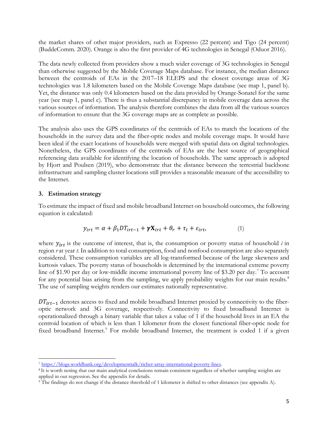the market shares of other major providers, such as Expresso (22 percent) and Tigo (24 percent) (BuddeComm. 2020). Orange is also the first provider of 4G technologies in Senegal (Oduor 2016).

The data newly collected from providers show a much wider coverage of 3G technologies in Senegal than otherwise suggested by the Mobile Coverage Maps database. For instance, the median distance between the centroids of EAs in the 2017–18 ELEPS and the closest coverage areas of 3G technologies was 1.8 kilometers based on the Mobile Coverage Maps database (see map 1, panel b). Yet, the distance was only 0.4 kilometers based on the data provided by Orange-Sonatel for the same year (see map 1, panel c). There is thus a substantial discrepancy in mobile coverage data across the various sources of information. The analysis therefore combines the data from all the various sources of information to ensure that the 3G coverage maps are as complete as possible.

The analysis also uses the GPS coordinates of the centroids of EAs to match the locations of the households in the survey data and the fiber-optic nodes and mobile coverage maps. It would have been ideal if the exact locations of households were merged with spatial data on digital technologies. Nonetheless, the GPS coordinates of the centroids of EAs are the best source of geographical referencing data available for identifying the location of households. The same approach is adopted by Hjort and Poulsen (2019), who demonstrate that the distance between the terrestrial backbone infrastructure and sampling cluster locations still provides a reasonable measure of the accessibility to the Internet.

# **3. Estimation strategy**

To estimate the impact of fixed and mobile broadband Internet on household outcomes, the following equation is calculated:

$$
y_{irt} = \alpha + \beta_1 DT_{irt-1} + \gamma \mathbf{X}_{irt} + \theta_r + \tau_t + \varepsilon_{irt}, \tag{1}
$$

where  $y_{irt}$  is the outcome of interest, that is, the consumption or poverty status of household  $i$  in region *r* at year *t*. In addition to total consumption, food and nonfood consumption are also separately considered. These consumption variables are all log-transformed because of the large skewness and kurtosis values. The poverty status of households is determined by the international extreme poverty line of \$1.90 per day or low-middle income international poverty line of \$3.20 per day.<sup>[7](#page-6-0)</sup> To account for any potential bias arising from the sampling, we apply probability weights for our main results.<sup>[8](#page-6-1)</sup> The use of sampling weights renders our estimates nationally representative.

 $DT_{irt-1}$  denotes access to fixed and mobile broadband Internet proxied by connectivity to the fiberoptic network and 3G coverage, respectively. Connectivity to fixed broadband Internet is operationalized through a binary variable that takes a value of 1 if the household lives in an EA the centroid location of which is less than 1 kilometer from the closest functional fiber-optic node for fixed broadband Internet.<sup>[9](#page-6-2)</sup> For mobile broadband Internet, the treatment is coded 1 if a given

<span id="page-6-0"></span><sup>7</sup> [https://blogs.worldbank.org/developmenttalk/richer-array-international-poverty-lines.](https://blogs.worldbank.org/developmenttalk/richer-array-international-poverty-lines)

<span id="page-6-1"></span><sup>8</sup> It is worth noting that our main analytical conclusions remain consistent regardless of whether sampling weights are applied in our regression. See the appendix for details.

<span id="page-6-2"></span><sup>9</sup> The findings do not change if the distance threshold of 1 kilometer is shifted to other distances (see appendix A).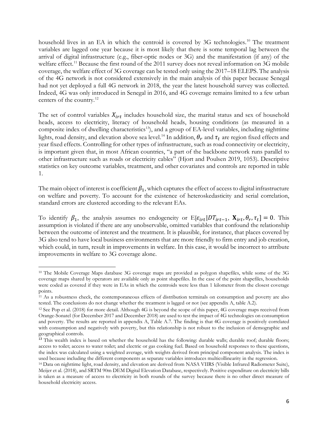household lives in an EA in which the centroid is covered by 3G technologies.<sup>[10](#page-7-0)</sup> The treatment variables are lagged one year because it is most likely that there is some temporal lag between the arrival of digital infrastructure (e.g., fiber-optic nodes or 3G) and the manifestation (if any) of the welfare effect.<sup>[11](#page-7-1)</sup> Because the first round of the 2011 survey does not reveal information on 3G mobile coverage, the welfare effect of 3G coverage can be tested only using the 2017–18 ELEPS. The analysis of the 4G network is not considered extensively in the main analysis of this paper because Senegal had not yet deployed a full 4G network in 2018, the year the latest household survey was collected. Indeed, 4G was only introduced in Senegal in 2016, and 4G coverage remains limited to a few urban centers of the country.[12](#page-7-2)

The set of control variables  $X_{irt}$  includes household size, the marital status and sex of household heads, access to electricity, literacy of household heads, housing conditions (as measured in a composite index of dwelling characteristics<sup>13</sup>), and a group of EA-level variables, including nighttime lights, road density, and elevation above sea level.<sup>[14](#page-7-4)</sup> In addition,  $\theta_r$  and  $\tau_t$  are region fixed effects and year fixed effects. Controlling for other types of infrastructure, such as road connectivity or electricity, is important given that, in most African countries, "a part of the backbone network runs parallel to other infrastructure such as roads or electricity cables" (Hjort and Poulsen 2019, 1053). Descriptive statistics on key outcome variables, treatment, and other covariates and controls are reported in table 1.

The main object of interest is coefficient  $\beta_1$ , which captures the effect of access to digital infrastructure on welfare and poverty. To account for the existence of heteroskedasticity and serial correlation, standard errors are clustered according to the relevant EAs.

To identify  $\beta_1$ , the analysis assumes no endogeneity or E[ $\varepsilon_{irt}$ ]  $DT_{irt-1}$ ,  $X_{irt}$ ,  $\theta_r$ ,  $\tau_t$ ] = 0. This assumption is violated if there are any unobservable, omitted variables that confound the relationship between the outcome of interest and the treatment. It is plausible, for instance, that places covered by 3G also tend to have local business environments that are more friendly to firm entry and job creation, which could, in turn, result in improvements in welfare. In this case, it would be incorrect to attribute improvements in welfare to 3G coverage alone.

<span id="page-7-0"></span><sup>10</sup> The Mobile Coverage Maps database 3G coverage maps are provided as polygon shapefiles, while some of the 3G coverage maps shared by operators are available only as point shapefiles. In the case of the point shapefiles, households were coded as covered if they were in EAs in which the centroids were less than 1 kilometer from the closest coverage points.

<span id="page-7-1"></span><sup>11</sup> As a robustness check, the contemporaneous effects of distribution terminals on consumption and poverty are also tested. The conclusions do not change whether the treatment is lagged or not (see appendix A, table A.2).

<span id="page-7-2"></span><sup>12</sup> See Pop et al. (2018) for more detail. Although 4G is beyond the scope of this paper, 4G coverage maps received from Orange-Sonatel (for December 2017 and December 2018) are used to test the impact of 4G technologies on consumption and poverty. The results are reported in appendix A, [Table A.7.](#page-22-0) The finding is that 4G coverage is positively correlated with consumption and negatively with poverty, but this relationship is not robust to the inclusion of demographic and geographical controls.

<span id="page-7-3"></span><sup>&</sup>lt;sup>13</sup> This wealth index is based on whether the household has the following: durable walls; durable roof; durable floors; access to toilet; access to water toilet; and electric or gas cooking fuel. Based on household responses to these questions, the index was calculated using a weighted average, with weights derived from principal component analysis. The index is used because including the different components as separate variables introduces multicollinearity in the regression.

<span id="page-7-4"></span><sup>14</sup> Data on nighttime light, road density, and elevation are derived from NASA VIIRS (Visible Infrared Radiometer Suite), Meijer et al. (2018), and SRTM 90m DEM Digital Elevation Database, respectively. Positive expenditure on electricity bills is taken as a measure of access to electricity in both rounds of the survey because there is no other direct measure of household electricity access.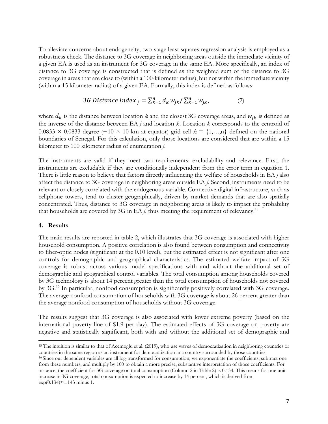To alleviate concerns about endogeneity, two-stage least squares regression analysis is employed as a robustness check. The distance to 3G coverage in neighboring areas outside the immediate vicinity of a given EA is used as an instrument for 3G coverage in the same EA. More specifically, an index of distance to 3G coverage is constructed that is defined as the weighted sum of the distance to 3G coverage in areas that are close to (within a 100-kilometer radius), but not within the immediate vicinity (within a 15 kilometer radius) of a given EA. Formally, this index is defined as follows:

3*G* Distance Index 
$$
_j = \sum_{k=1}^n d_k w_{jk} / \sum_{k=1}^n w_{jk}
$$
, (2)

where  $d_k$  is the distance between location *k* and the closest 3G coverage areas, and  $w_{jk}$  is defined as the inverse of the distance between EA *j* and location *k*. Location *k* corresponds to the centroid of 0.0833 × 0.0833 degree (∼10 × 10 km at equator) grid-cell *k* = {1,…,n} defined on the national boundaries of Senegal. For this calculation, only those locations are considered that are within a 15 kilometer to 100 kilometer radius of enumeration *j*.

The instruments are valid if they meet two requirements: excludability and relevance. First, the instruments are excludable if they are conditionally independent from the error term in equation 1. There is little reason to believe that factors directly influencing the welfare of households in EA *j* also affect the distance to 3G coverage in neighboring areas outside EA *j*. Second, instruments need to be relevant or closely correlated with the endogenous variable. Connective digital infrastructure, such as cellphone towers, tend to cluster geographically, driven by market demands that are also spatially concentrated. Thus, distance to 3G coverage in neighboring areas is likely to impact the probability that households are covered by 3G in EA  $j$ , thus meeting the requirement of relevancy.<sup>[15](#page-8-0)</sup>

#### **4. Results**

The main results are reported in table 2, which illustrates that 3G coverage is associated with higher household consumption. A positive correlation is also found between consumption and connectivity to fiber-optic nodes (significant at the 0.10 level), but the estimated effect is not significant after one controls for demographic and geographical characteristics. The estimated welfare impact of 3G coverage is robust across various model specifications with and without the additional set of demographic and geographical control variables. The total consumption among households covered by 3G technology is about 14 percent greater than the total consumption of households not covered by 3G.[16](#page-8-1) In particular, nonfood consumption is significantly positively correlated with 3G coverage. The average nonfood consumption of households with 3G coverage is about 26 percent greater than the average nonfood consumption of households without 3G coverage.

The results suggest that 3G coverage is also associated with lower extreme poverty (based on the international poverty line of \$1.9 per day). The estimated effects of 3G coverage on poverty are negative and statistically significant, both with and without the additional set of demographic and

<span id="page-8-0"></span><sup>&</sup>lt;sup>15</sup> The intuition is similar to that of Acemoglu et al. (2019), who use waves of democratization in neighboring countries or countries in the same region as an instrument for democratization in a country surrounded by those countries.

<span id="page-8-1"></span><sup>&</sup>lt;sup>16</sup> Since our dependent variables are all log-transformed for consumption, we exponentiate the coefficients, subtract one from these numbers, and multiply by 100 to obtain a more precise, substantive interpretation of those coefficients. For instance, the coefficient for 3G coverage on total consumption (Column 2 in Table 2) is 0.134. This means for one unit increase in 3G coverage, total consumption is expected to increase by 14 percent, which is derived from exp(0.134)≈1.143 minus 1.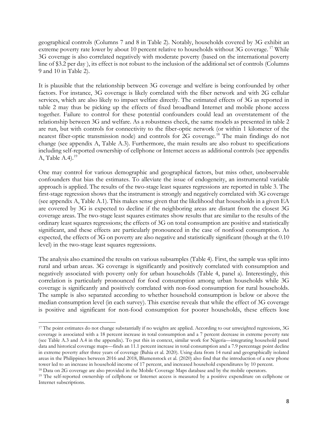geographical controls (Columns 7 and 8 in Table 2). Notably, households covered by 3G exhibit an extreme poverty rate lower by about 10 percent relative to households without 3G coverage.<sup>[17](#page-9-0)</sup> While 3G coverage is also correlated negatively with moderate poverty (based on the international poverty line of \$3.2 per day ), its effect is not robust to the inclusion of the additional set of controls (Columns 9 and 10 in Table 2).

It is plausible that the relationship between 3G coverage and welfare is being confounded by other factors. For instance, 3G coverage is likely correlated with the fiber network and with 2G cellular services, which are also likely to impact welfare directly. The estimated effects of 3G as reported in table 2 may thus be picking up the effects of fixed broadband Internet and mobile phone access together. Failure to control for these potential confounders could lead an overstatement of the relationship between 3G and welfare. As a robustness check, the same models as presented in table 2 are run, but with controls for connectivity to the fiber-optic network (or within 1 kilometer of the nearest fiber-optic transmission node) and controls for 2G coverage.[18](#page-9-1) The main findings do not change (see appendix A, Table A.3). Furthermore, the main results are also robust to specifications including self-reported ownership of cellphone or Internet access as additional controls (see appendix A, Table A.4). [19](#page-9-2)

One may control for various demographic and geographical factors, but miss other, unobservable confounders that bias the estimates. To alleviate the issue of endogeneity, an instrumental variable approach is applied. The results of the two-stage least squares regressions are reported in table 3. The first-stage regression shows that the instrument is strongly and negatively correlated with 3G coverage (see appendix A, Table A.1). This makes sense given that the likelihood that households in a given EA are covered by 3G is expected to decline if the neighboring areas are distant from the closest 3G coverage areas. The two-stage least squares estimates show results that are similar to the results of the ordinary least squares regressions; the effects of 3G on total consumption are positive and statistically significant, and these effects are particularly pronounced in the case of nonfood consumption. As expected, the effects of 3G on poverty are also negative and statistically significant (though at the 0.10 level) in the two-stage least squares regressions.

The analysis also examined the results on various subsamples (Table 4). First, the sample was split into rural and urban areas. 3G coverage is significantly and positively correlated with consumption and negatively associated with poverty only for urban households (Table 4, panel a). Interestingly, this correlation is particularly pronounced for food consumption among urban households while 3G coverage is significantly and positively correlated with non-food consumption for rural households. The sample is also separated according to whether household consumption is below or above the median consumption level (in each survey). This exercise reveals that while the effect of 3G coverage is positive and significant for non-food consumption for poorer households, these effects lose

<span id="page-9-0"></span><sup>&</sup>lt;sup>17</sup> The point estimates do not change substantially if no weights are applied. According to our unweighted regressions, 3G coverage is associated with a 18 percent increase in total consumption and a 7 percent decrease in extreme poverty rate (see Table A.3 and A.4 in the appendix). To put this in context, similar work for Nigeria—integrating household panel data and historical coverage maps—finds an 11.1 percent increase in total consumption and a 7.9 percentage point decline in extreme poverty after three years of coverage (Bahia et al. 2020). Using data from 14 rural and geographically isolated areas in the Philippines between 2016 and 2018, Blumenstock et al. (2020) also find that the introduction of a new phone tower led to an increase in household income of 17 percent, and increased household expenditures by 10 percent. 18 Data on 2G coverage are also provided in the Mobile Coverage Maps database and by the mobile operators.

<span id="page-9-1"></span>

<span id="page-9-2"></span><sup>&</sup>lt;sup>19</sup> The self-reported ownership of cellphone or Internet access is measured by a positive expenditure on cellphone or Internet subscriptions.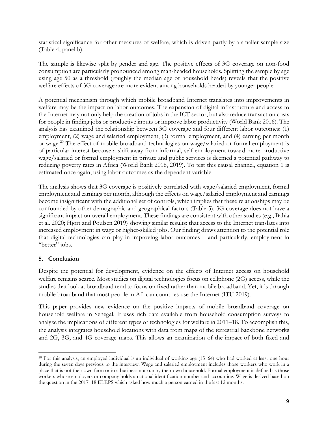statistical significance for other measures of welfare, which is driven partly by a smaller sample size (Table 4, panel b).

The sample is likewise split by gender and age. The positive effects of 3G coverage on non-food consumption are particularly pronounced among man-headed households. Splitting the sample by age using age 50 as a threshold (roughly the median age of household heads) reveals that the positive welfare effects of 3G coverage are more evident among households headed by younger people.

A potential mechanism through which mobile broadband Internet translates into improvements in welfare may be the impact on labor outcomes. The expansion of digital infrastructure and access to the Internet may not only help the creation of jobs in the ICT sector, but also reduce transaction costs for people in finding jobs or productive inputs or improve labor productivity (World Bank 2016). The analysis has examined the relationship between 3G coverage and four different labor outcomes: (1) employment, (2) wage and salaried employment, (3) formal employment, and (4) earning per month or wage. [20](#page-10-0) The effect of mobile broadband technologies on wage/salaried or formal employment is of particular interest because a shift away from informal, self-employment toward more productive wage/salaried or formal employment in private and public services is deemed a potential pathway to reducing poverty rates in Africa (World Bank 2016, 2019). To test this causal channel, equation 1 is estimated once again, using labor outcomes as the dependent variable.

The analysis shows that 3G coverage is positively correlated with wage/salaried employment, formal employment and earnings per month, although the effects on wage/salaried employment and earnings become insignificant with the additional set of controls, which implies that these relationships may be confounded by other demographic and geographical factors (Table 5). 3G coverage does not have a significant impact on overall employment. These findings are consistent with other studies (e.g., Bahia et al. 2020; Hjort and Poulsen 2019) showing similar results: that access to the Internet translates into increased employment in wage or higher-skilled jobs. Our finding draws attention to the potential role that digital technologies can play in improving labor outcomes – and particularly, employment in "better" jobs.

# **5. Conclusion**

Despite the potential for development, evidence on the effects of Internet access on household welfare remains scarce. Most studies on digital technologies focus on cellphone (2G) access, while the studies that look at broadband tend to focus on fixed rather than mobile broadband. Yet, it is through mobile broadband that most people in African countries use the Internet (ITU 2019).

This paper provides new evidence on the positive impacts of mobile broadband coverage on household welfare in Senegal. It uses rich data available from household consumption surveys to analyze the implications of different types of technologies for welfare in 2011–18. To accomplish this, the analysis integrates household locations with data from maps of the terrestrial backbone networks and 2G, 3G, and 4G coverage maps. This allows an examination of the impact of both fixed and

<span id="page-10-0"></span> $20$  For this analysis, an employed individual is an individual of working age (15–64) who had worked at least one hour during the seven days previous to the interview. Wage and salaried employment includes those workers who work in a place that is not their own farm or in a business not run by their own household. Formal employment is defined as those workers whose employers or company holds a national identification number and accounting. Wage is derived based on the question in the 2017–18 ELEPS which asked how much a person earned in the last 12 months.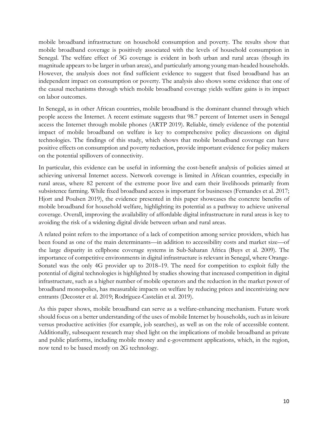mobile broadband infrastructure on household consumption and poverty. The results show that mobile broadband coverage is positively associated with the levels of household consumption in Senegal. The welfare effect of 3G coverage is evident in both urban and rural areas (though its magnitude appears to be larger in urban areas), and particularly among young man-headed households. However, the analysis does not find sufficient evidence to suggest that fixed broadband has an independent impact on consumption or poverty. The analysis also shows some evidence that one of the causal mechanisms through which mobile broadband coverage yields welfare gains is its impact on labor outcomes.

In Senegal, as in other African countries, mobile broadband is the dominant channel through which people access the Internet. A recent estimate suggests that 98.7 percent of Internet users in Senegal access the Internet through mobile phones (ARTP 2019). Reliable, timely evidence of the potential impact of mobile broadband on welfare is key to comprehensive policy discussions on digital technologies. The findings of this study, which shows that mobile broadband coverage can have positive effects on consumption and poverty reduction, provide important evidence for policy makers on the potential spillovers of connectivity.

In particular, this evidence can be useful in informing the cost-benefit analysis of policies aimed at achieving universal Internet access. Network coverage is limited in African countries, especially in rural areas, where 82 percent of the extreme poor live and earn their livelihoods primarily from subsistence farming. While fixed broadband access is important for businesses (Fernandes et al. 2017; Hjort and Poulsen 2019), the evidence presented in this paper showcases the concrete benefits of mobile broadband for household welfare, highlighting its potential as a pathway to achieve universal coverage. Overall, improving the availability of affordable digital infrastructure in rural areas is key to avoiding the risk of a widening digital divide between urban and rural areas.

A related point refers to the importance of a lack of competition among service providers, which has been found as one of the main determinants—in addition to accessibility costs and market size—of the large disparity in cellphone coverage systems in Sub-Saharan Africa (Buys et al. 2009). The importance of competitive environments in digital infrastructure is relevant in Senegal, where Orange-Sonatel was the only 4G provider up to 2018–19. The need for competition to exploit fully the potential of digital technologies is highlighted by studies showing that increased competition in digital infrastructure, such as a higher number of mobile operators and the reduction in the market power of broadband monopolies, has measurable impacts on welfare by reducing prices and incentivizing new entrants (Decoster et al. 2019; Rodríguez-Castelán et al. 2019).

As this paper shows, mobile broadband can serve as a welfare-enhancing mechanism. Future work should focus on a better understanding of the uses of mobile Internet by households, such as in leisure versus productive activities (for example, job searches), as well as on the role of accessible content. Additionally, subsequent research may shed light on the implications of mobile broadband as private and public platforms, including mobile money and e-government applications, which, in the region, now tend to be based mostly on 2G technology.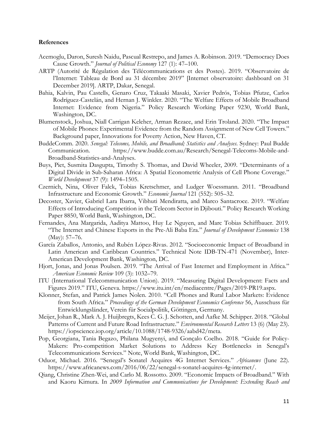#### **References**

- Acemoglu, Daron, Suresh Naidu, Pascual Restrepo, and James A. Robinson. 2019. "Democracy Does Cause Growth." *Journal of Political Economy* 127 (1): 47–100.
- ARTP (Autorité de Régulation des Télécommunications et des Postes). 2019. "Observatoire de l'Internet: Tableau de Bord au 31 décembre 2019" [Internet observatoire: dashboard on 31 December 2019]. ARTP, Dakar, Senegal.
- Bahia, Kalvin, Pau Castells, Genaro Cruz, Takaaki Masaki, Xavier Pedrós, Tobias Pfutze, Carlos Rodríguez-Castelán, and Hernan J. Winkler. 2020. "The Welfare Effects of Mobile Broadband Internet: Evidence from Nigeria." Policy Research Working Paper 9230, World Bank, Washington, DC.
- Blumenstock, Joshua, Niall Carrigan Keleher, Arman Rezaee, and Erin Troland. 2020. "The Impact of Mobile Phones: Experimental Evidence from the Random Assignment of New Cell Towers." Background paper, Innovations for Poverty Action, New Haven, CT.
- BuddeComm. 2020. *Senegal: Telecoms, Mobile, and Broadband; Statistics and Analyses*. Sydney: Paul Budde Communication. https://www.budde.com.au/Research/Senegal-Telecoms-Mobile-and-Broadband-Statistics-and-Analyses.
- Buys, Piet, Susmita Dasgupta, Timothy S. Thomas, and David Wheeler, 2009. "Determinants of a Digital Divide in Sub-Saharan Africa: A Spatial Econometric Analysis of Cell Phone Coverage." *World Development* 37 (9): 1494–1505.
- Czernich, Nina, Oliver Falck, Tobias Kretschmer, and Ludger Woessmann. 2011. "Broadband Infrastructure and Economic Growth." *Economic Journal* 121 (552): 505–32.
- Decoster, Xavier, Gabriel Lara Ibarra, Vibhuti Mendiratta, and Marco Santacroce. 2019. "Welfare Effects of Introducing Competition in the Telecom Sector in Djibouti." Policy Research Working Paper 8850, World Bank, Washington, DC.
- Fernandes, Ana Margarida, Aaditya Mattoo, Huy Le Nguyen, and Marc Tobias Schiffbauer. 2019. "The Internet and Chinese Exports in the Pre-Ali Baba Era." *Journal of Development Economics* 138 (May): 57–76.
- García Zaballos, Antonio, and Rubén López-Rivas. 2012. "Socioeconomic Impact of Broadband in Latin American and Caribbean Countries." Technical Note IDB-TN-471 (November), Inter-American Development Bank, Washington, DC.
- Hjort, Jonas, and Jonas Poulsen. 2019. "The Arrival of Fast Internet and Employment in Africa." *American Economic Review* 109 (3): 1032–79.
- ITU (International Telecommunication Union). 2019. "Measuring Digital Development: Facts and Figures 2019." ITU, Geneva. https://www.itu.int/en/mediacentre/Pages/2019-PR19.aspx.
- Klonner, Stefan, and Patrick James Nolen. 2010. "Cell Phones and Rural Labor Markets: Evidence from South Africa." *Proceedings of the German Development Economics Conference* 56, Ausschuss für Entwicklungsländer, Verein für Socialpolitik, Göttingen, Germany.
- Meijer, Johan R., Mark A. J. Huijbregts, Kees C. G. J. Schotten, and Aafke M. Schipper. 2018. "Global Patterns of Current and Future Road Infrastructure." *Environmental Research Letters* 13 (6) (May 23). https://iopscience.iop.org/article/10.1088/1748-9326/aabd42/meta.
- Pop, Georgiana, Tania Begazo, Philana Mugyenyi, and Gonçalo Coelho. 2018. "Guide for Policy-Makers: Pro-competition Market Solutions to Address Key Bottlenecks in Senegal's Telecommunications Services." Note, World Bank, Washington, DC.
- Oduor, Michael. 2016. "Senegal's Sonatel Acquires 4G Internet Services." *Africanews* (June 22). https://www.africanews.com/2016/06/22/senegal-s-sonatel-acquires-4g-internet/.
- Qiang, Christine Zhen-Wei, and Carlo M. Rossotto. 2009. "Economic Impacts of Broadband." With and Kaoru Kimura. In *2009 Information and Communications for Development: Extending Reach and*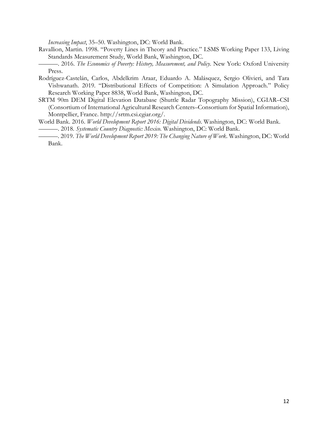*Increasing Impact*, 35–50. Washington, DC: World Bank.

- Ravallion, Martin. 1998. "Poverty Lines in Theory and Practice." LSMS Working Paper 133, Living Standards Measurement Study, World Bank, Washington, DC.
- ———. 2016. *The Economics of Poverty: History, Measurement, and Policy*. New York: Oxford University Press.
- Rodríguez-Castelán, Carlos, Abdelkrim Araar, Eduardo A. Malásquez, Sergio Olivieri, and Tara Vishwanath. 2019. "Distributional Effects of Competition: A Simulation Approach." Policy Research Working Paper 8838, World Bank, Washington, DC.
- SRTM 90m DEM Digital Elevation Database (Shuttle Radar Topography Mission), CGIAR–CSI (Consortium of International Agricultural Research Centers–Consortium for Spatial Information), Montpellier, France. http://srtm.csi.cgiar.org/.
- World Bank. 2016. *World Development Report 2016: Digital Dividends*. Washington, DC: World Bank.
- ———. 2018. *Systematic Country Diagnostic: Mexico*. Washington, DC: World Bank.
- ———. 2019. *The World Development Report 2019: The Changing Nature of Work*. Washington, DC: World Bank.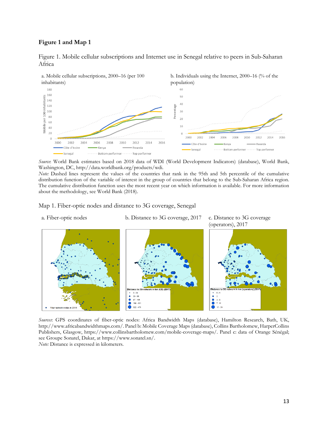#### <span id="page-14-0"></span>**Figure 1 and Map 1**



Figure 1. Mobile cellular subscriptions and Internet use in Senegal relative to peers in Sub-Saharan Africa

*Source*: World Bank estimates based on 2018 data of WDI (World Development Indicators) (database), World Bank, Washington, DC, http://data.worldbank.org/products/wdi.

*Note:* Dashed lines represent the values of the countries that rank in the 95th and 5th percentile of the cumulative distribution function of the variable of interest in the group of countries that belong to the Sub-Saharan Africa region. The cumulative distribution function uses the most recent year on which information is available. For more information about the methodology, see World Bank (2018).

<span id="page-14-1"></span>Map 1. Fiber-optic nodes and distance to 3G coverage, Senegal

a. Fiber-optic nodes b. Distance to 3G coverage, 2017 c. Distance to 3G coverage

(operators), 2017



*Sources*: GPS coordinates of fiber-optic nodes: Africa Bandwidth Maps (database), Hamilton Research, Bath, UK, http://www.africabandwidthmaps.com/. Panel b: Mobile Coverage Maps (database), Collins Bartholomew, HarperCollins Publishers, Glasgow, https://www.collinsbartholomew.com/mobile-coverage-maps/. Panel c: data of Orange Sénégal; see Groupe Sonatel, Dakar, at https://www.sonatel.sn/.

*Note:* Distance is expressed in kilometers.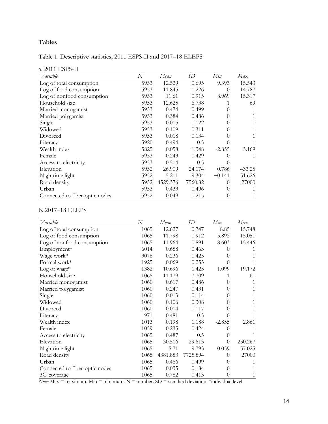# **Tables**

Table 1. Descriptive statistics, 2011 ESPS-II and 2017–18 ELEPS

|  | a. 2011 ESPS-II |
|--|-----------------|
|--|-----------------|

| Variable                       | N    | Mean     | SD      | Min              | Max    |
|--------------------------------|------|----------|---------|------------------|--------|
| Log of total consumption       | 5953 | 12.529   | 0.695   | 9.393            | 15.543 |
| Log of food consumption        | 5953 | 11.845   | 1.226   | $\Omega$         | 14.787 |
| Log of nonfood consumption     | 5953 | 11.61    | 0.915   | 8.969            | 15.317 |
| Household size                 | 5953 | 12.625   | 6.738   |                  | 69     |
| Married monogamist             | 5953 | 0.474    | 0.499   | $\left( \right)$ |        |
| Married polygamist             | 5953 | 0.384    | 0.486   | $\theta$         |        |
| Single                         | 5953 | 0.015    | 0.122   | $\left( \right)$ |        |
| Widowed                        | 5953 | 0.109    | 0.311   |                  |        |
| Divorced                       | 5953 | 0.018    | 0.134   |                  |        |
| Literacy                       | 5920 | 0.494    | 0.5     |                  |        |
| Wealth index                   | 5825 | 0.058    | 1.348   | $-2.855$         | 3.169  |
| Female                         | 5953 | 0.243    | 0.429   |                  |        |
| Access to electricity          | 5953 | 0.514    | 0.5     |                  |        |
| Elevation                      | 5952 | 26.909   | 24.074  | 0.786            | 433.25 |
| Nighttime light                | 5952 | 5.211    | 9.304   | $-0.141$         | 51.626 |
| Road density                   | 5952 | 4529.376 | 7560.82 | $\Omega$         | 27000  |
| Urban                          | 5953 | 0.433    | 0.496   | $\Omega$         |        |
| Connected to fiber-optic nodes | 5952 | 0.049    | 0.215   | $\theta$         |        |

# b. 2017–18 ELEPS

| <b>V</b> ariable               | N    | Mean     | SD       | Min      | Max     |
|--------------------------------|------|----------|----------|----------|---------|
| Log of total consumption       | 1065 | 12.627   | 0.747    | 8.85     | 15.748  |
| Log of food consumption        | 1065 | 11.798   | 0.912    | 5.892    | 15.051  |
| Log of nonfood consumption     | 1065 | 11.964   | 0.891    | 8.603    | 15.446  |
| Employment*                    | 6014 | 0.688    | 0.463    | 0        | 1       |
| Wage work*                     | 3076 | 0.236    | 0.425    | $\theta$ | 1       |
| Formal work*                   | 1925 | 0.069    | 0.253    | $\theta$ | 1       |
| Log of wage*                   | 1382 | 10.696   | 1.425    | 1.099    | 19.172  |
| Household size                 | 1065 | 11.179   | 7.709    | 1        | 61      |
| Married monogamist             | 1060 | 0.617    | 0.486    | $\theta$ | 1       |
| Married polygamist             | 1060 | 0.247    | 0.431    | $\Omega$ | 1       |
| Single                         | 1060 | 0.013    | 0.114    | $\Omega$ | 1       |
| Widowed                        | 1060 | 0.106    | 0.308    | 0        |         |
| Divorced                       | 1060 | 0.014    | 0.117    | 0        | 1       |
| Literacy                       | 971  | 0.481    | 0.5      | 0        | 1       |
| Wealth index                   | 1013 | 0.198    | 1.188    | $-2.855$ | 2.861   |
| Female                         | 1059 | 0.235    | 0.424    | 0        | 1       |
| Access to electricity          | 1065 | 0.487    | 0.5      | $\theta$ | 1       |
| Elevation                      | 1065 | 30.516   | 29.613   | $\theta$ | 250.267 |
| Nighttime light                | 1065 | 5.71     | 9.793    | 0.059    | 57.025  |
| Road density                   | 1065 | 4381.883 | 7725.894 | $\theta$ | 27000   |
| Urban                          | 1065 | 0.466    | 0.499    | $\Omega$ | 1       |
| Connected to fiber-optic nodes | 1065 | 0.035    | 0.184    | $\Omega$ | 1       |
| 3G coverage                    | 1065 | 0.782    | 0.413    | 0        | 1       |

*Note:* Max = maximum. Min = minimum. N = number. SD = standard deviation. \*individual level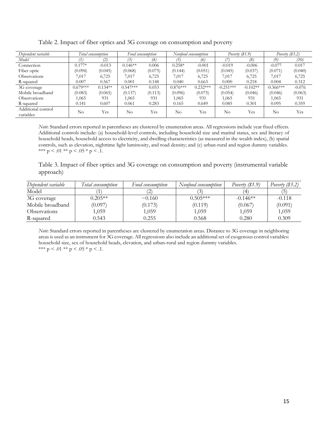| Dependent variable              |            | Total consumption |            | Food consumption |            | Nonfood consumption | Poverty $(\$1.9)$ |            | Poverty $(\$3.2)$ |          |
|---------------------------------|------------|-------------------|------------|------------------|------------|---------------------|-------------------|------------|-------------------|----------|
| Model                           |            | (2)               |            | (4)              | 75.        | (6)                 |                   | (8)        | $\left( 9\right)$ | (10)     |
| Connection                      | $0.177*$   | $-0.013$          | $0.146**$  | 0.006            | $0.258*$   | $-0.001$            | $-0.019$          | $-0.006$   | $-0.077$          | 0.017    |
| Fiber optic                     | (0.094)    | (0.045)           | (0.068)    | (0.075)          | (0.144)    | (0.051)             | (0.045)           | (0.037)    | (0.071)           | (0.040)  |
| Observations                    | 7,017      | 6,725             | 1.017      | 6,725            | 7,017      | 6,725               | 7,017             | 6,725      | 7,017             | 6,725    |
| R-squared                       | 0.007      | 0.567             | $0.001\,$  | 0.148            | 0.040      | 0.663               | 0.000             | 0.218      | 0.004             | 0.312    |
| 3G coverage                     | $0.679***$ | $0.134**$         | $0.547***$ | 0.053            | $0.876***$ | $0.232***$          | $-0.251***$       | $-0.102**$ | $-0.366***$       | $-0.076$ |
| Mobile broadband                | (0.083)    | (0.065)           | (0.137)    | (0.113)          | (0.096)    | (0.075)             | (0.054)           | (0.046)    | (0.046)           | (0.063)  |
| <b>Observations</b>             | 1,065      | 931               | 1,065      | 931              | 1,065      | 931                 | 1.065             | 931        | 1,065             | 931      |
| R-squared                       | 0.141      | 0.607             | 0.061      | 0.283            | 0.165      | 0.649               | 0.085             | 0.301      | 0.095             | 0.359    |
| Additional control<br>variables | $\rm No$   | Yes               | $\rm No$   | Yes              | No         | Yes                 | No                | Yes        | No.               | Yes      |

Table 2. Impact of fiber optics and 3G coverage on consumption and poverty

*Note*: Standard errors reported in parentheses are clustered by enumeration areas. All regressions include year fixed effects. Additional controls include: (a) household-level controls, including household size and marital status, sex and literacy of household heads, household access to electricity, and dwelling characteristics (as measured in the wealth index), (b) spatial controls, such as elevation, nighttime light luminosity, and road density; and (c) urban-rural and region dummy variables. \*\*\*  $p < .01$  \*\*  $p < .05$  \*  $p < .1$ .

Table 3. Impact of fiber optics and 3G coverage on consumption and poverty (instrumental variable approach)

| Dependent variable         | Total consumption | Food consumption | Nonfood consumption | Poverty $(\$1.9)$ | Poverty $(\$3.2)$ |
|----------------------------|-------------------|------------------|---------------------|-------------------|-------------------|
| Model                      |                   | ∸                |                     | ΄4                |                   |
| 3G coverage                | $0.205**$         | $-0.160$         | $0.505***$          | $-0.146**$        | $-0.118$          |
| Mobile broadband           | (0.097)           | (0.173)          | (0.119)             | (0.067)           | (0.091)           |
| <i><b>Observations</b></i> | 1,059             | 1,059            | 1,059               | 1,059             | 1,059             |
| R-squared                  | 0.543             | 0.255            | 0.568               | 0.280             | 0.309             |

*Note*: Standard errors reported in parentheses are clustered by enumeration areas. Distance to 3G coverage in neighboring areas is used as an instrument for 3G coverage. All regressions also include an additional set of exogenous control variables: household size, sex of household heads, elevation, and urban-rural and region dummy variables. \*\*\*  $p < .01$  \*\*  $p < .05$  \*  $p < .1$ .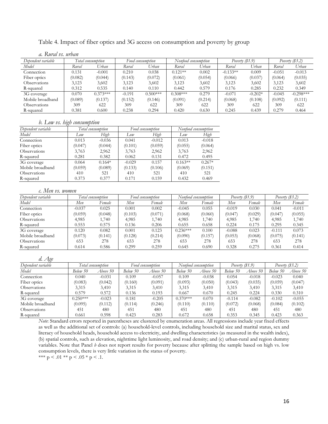|  |  |  | Table 4. Impact of fiber optics and 3G access on consumption and poverty by group |  |  |
|--|--|--|-----------------------------------------------------------------------------------|--|--|
|  |  |  |                                                                                   |  |  |

#### *a. Rural vs. urban*

| Dependent variable |         | Total consumption | Food consumption |            | Nonfood consumption |         | Poverty $(81.9)$ |           | Poverty $(\$3.2)$ |             |
|--------------------|---------|-------------------|------------------|------------|---------------------|---------|------------------|-----------|-------------------|-------------|
| Model              | Rural   | Urban             | Rural            | Urban      | Rural               | Urban   | Rural            | Urban     | Rural             | Urban       |
| Connection         | 0.131   | $-0.001$          | 0.210            | 0.038      | $0.121**$           | 0.002   | $-0.133**$       | 0.009     | $-0.051$          | $-0.013$    |
| Fiber optics       | (0.082) | (0.044)           | (0.143)          | (0.072)    | (0.061)             | (0.054) | (0.066)          | (0.037)   | (0.064)           | (0.035)     |
| Observations       | 3,123   | 3,602             | 3,123            | 3,602      | 3,123               | 3,602   | 3,123            | 3,602     | 3,123             | 3,602       |
| R-squared          | 0.312   | 0.535             | 0.140            | 0.110      | 0.442               | 0.579   | 0.176            | 0.285     | 0.232             | 0.349       |
| 3G coverage        | 0.070   | $0.373***$        | $-0.191$         | $0.500***$ | $0.308***$          | 0.279   | $-0.071$         | $-0.202*$ | $-0.045$          | $-0.298***$ |
| Mobile broadband   | (0.089) | (0.137)           | (0.152)          | (0.146)    | (0.091)             | (0.214) | (0.068)          | (0.108)   | (0.092)           | (0.111)     |
| Observations       | 309     | 622               | 309              | 622        | 309                 | 622     | 309              | 622       | 309               | 622         |
| R-squared          | 0.381   | 0.600             | 0.238            | 0.294      | 0.420               | 0.630   | 0.245            | 0.439     | 0.279             | 0.464       |

#### *b. Low vs. high consumption*

| Dependent variable  |         | Total consumption |          | Food consumption | Nonfood consumption |          |
|---------------------|---------|-------------------|----------|------------------|---------------------|----------|
| Model               | Low     | High              | Low      | High             | Low                 | High     |
| Connection          | 0.013   | $-0.036$          | 0.041    | $-0.012$         | 0.013               | $-0.018$ |
| Fiber optics        | (0.047) | (0.044)           | (0.101)  | (0.059)          | (0.055)             | (0.064)  |
| Observations        | 3,763   | 2,962             | 3,763    | 2,962            | 3,763               | 2,962    |
| R-squared           | 0.281   | 0.382             | 0.062    | 0.131            | 0.472               | 0.495    |
| 3G coverage         | 0.064   | $0.164*$          | $-0.029$ | 0.157            | $0.163**$           | $0.267*$ |
| Mobile broadband    | (0.059) | (0.089)           | (0.133)  | (0.106)          | (0.069)             | (0.151)  |
| <b>Observations</b> | 410     | 521               | 410      | 521              | 410                 | 521      |
| R-squared           | 0.373   | 0.377             | 0.171    | 0.159            | 0.432               | 0.469    |

#### *c. Men vs. women*

| Dependent variable  |          | l'otal consumption |         | Food consumption |            | Nonfood consumption | Poverty $(\$1.9)$ |         | Poverty $(\$3.2)$ |          |
|---------------------|----------|--------------------|---------|------------------|------------|---------------------|-------------------|---------|-------------------|----------|
| Model               | Men      | Female             | Men     | Female           | Men        | Female              | Men               | Female  | Men               | Female   |
| Connection          | $-0.037$ | 0.025              | 0.001   | 0.002            | $-0.045$   | 0.055               | $-0.019$          | 0.030   | 0.041             | $-0.011$ |
| Fiber optics        | (0.059)  | (0.048)            | (0.103) | (0.071)          | (0.068)    | (0.060)             | (0.047)           | (0.029) | (0.047)           | (0.055)  |
| Observations        | 4,985    | 1,740              | 4,985   | .740             | 4,985      | 1,740               | 4,985             | 1,740   | 4,985             | 1,740    |
| R-squared           | 0.553    | 0.575              | 0.136   | 0.206            | 0.655      | 0.658               | 0.224             | 0.175   | 0.295             | 0.345    |
| 3G coverage         | 0.120    | 0.082              | 0.001   | 0.123            | $0.236***$ | 0.100               | $-0.088$          | 0.023   | $-0.111$          | 0.073    |
| Mobile broadband    | (0.073)  | (0.141)            | (0.128) | (0.214)          | (0.090)    | (0.157)             | (0.053)           | (0.068) | (0.075)           | (0.141)  |
| <b>Observations</b> | 653      | 278                | 653     | 278              | 653        | 278                 | 653               | 278     | 653               | 278      |
| R-squared           | 0.614    | 0.586              | 0.299   | 0.259            | 0.645      | 0.690               | 0.328             | 0.275   | 0.361             | 0.414    |

| d. Age              |            |                   |          |                  |            |                     |                  |          |                   |          |
|---------------------|------------|-------------------|----------|------------------|------------|---------------------|------------------|----------|-------------------|----------|
| Dependent variable  |            | Total consumption |          | Food consumption |            | Nontood consumption | Poverty $(S1.9)$ |          | Poverty $(\$3.2)$ |          |
| Model               | Below 50   | Above 50          | Below 50 | Above 50         | Below 50   | Above 50            | Below 50         | Above 50 | Below 50          | Above 50 |
| Connection          | 0.040      | $-0.031$          | 0.109    | $-0.057$         | 0.109      | $-0.038$            | 0.054            | $-0.018$ | $-0.023$          | 0.040    |
| Fiber optics        | (0.083)    | (0.042)           | (0.160)  | (0.091)          | (0.093)    | (0.050)             | (0.043)          | (0.035)  | (0.059)           | (0.047)  |
| <b>Observations</b> | 3,315      | 3,410             | 3,315    | 3,410            | 3,315      | 3,410               | 3,315            | 3,410    | 3,315             | 3,410    |
| R-squared           | 0.579      | 0.572             | 0.136    | 0.193            | 0.667      | 0.670               | 0.245            | 0.224    | 0.330             | 0.310    |
| 3G coverage         | $0.250***$ | $-0.023$          | 0.181    | $-0.205$         | $0.370***$ | 0.070               | $-0.114$         | $-0.082$ | $-0.102$          | $-0.055$ |
| Mobile broadband    | (0.095)    | (0.112)           | (0.114)  | (0.246)          | (0.110)    | (0.110)             | (0.072)          | (0.068)  | (0.084)           | (0.102)  |
| Observations        | 451        | 480               | 451      | 480              | 451        | 480                 | 451              | 480      | 451               | 480      |
| R-squared           | 0.661      | 0.598             | 0.423    | 0.283            | 0.672      | 0.658               | 0.353            | 0.345    | 0.423             | 0.363    |

*Note*: Standard errors reported in parentheses are clustered by enumeration areas. All regressions include year fixed effects as well as the additional set of controls: (a) household-level controls, including household size and marital status, sex and literacy of household heads, household access to electricity, and dwelling characteristics (as measured in the wealth index), (b) spatial controls, such as elevation, nighttime light luminosity, and road density; and (c) urban-rural and region dummy variables. Note that Panel *b* does not report results for poverty because after splitting the sample based on high vs. low consumption levels, there is very little variation in the status of poverty. \*\*\* p < .01 \*\* p < .05 \* p < .1.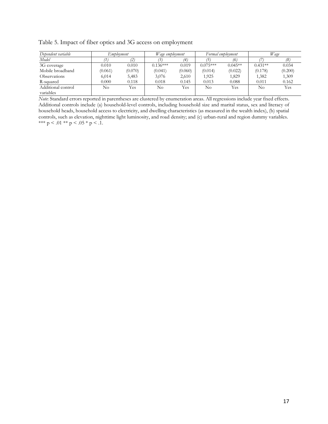Table 5. Impact of fiber optics and 3G access on employment

| Dependent variable              | Employment |         | Wage employment |         |            | Formal employment |           | Wage    |
|---------------------------------|------------|---------|-----------------|---------|------------|-------------------|-----------|---------|
| Model                           |            |         |                 |         |            | 16.               |           |         |
| 3G coverage                     | 0.010      | 0.010   | $0.136***$      | 0.019   | $0.075***$ | $0.045**$         | $0.431**$ | 0.034   |
| Mobile broadband                | (0.061)    | (0.070) | (0.041)         | (0.060) | (0.014)    | (0.022)           | (0.178)   | (0.200) |
| <b>Observations</b>             | 6,014      | 5,483   | 3,076           | 2,610   | 1,925      | 1,829             | 1,382     | 1,309   |
| R-squared                       | 0.000      | 0.118   | 0.018           | 0.145   | 0.013      | 0.088             | 0.011     | 0.162   |
| Additional control<br>variables | No         | Yes     | No              | Yes     | No         | <b>Yes</b>        | No        | Yes     |

*Note*: Standard errors reported in parentheses are clustered by enumeration areas. All regressions include year fixed effects. Additional controls include (a) household-level controls, including household size and marital status, sex and literacy of household heads, household access to electricity, and dwelling characteristics (as measured in the wealth index), (b) spatial controls, such as elevation, nighttime light luminosity, and road density; and (c) urban-rural and region dummy variables. \*\*\*  $p < .01$  \*\*  $p < .05$  \*  $p < .1$ .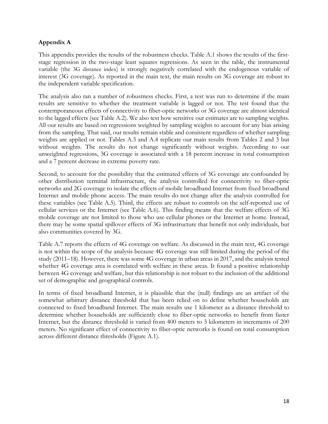# **Appendix A**

This appendix provides the results of the robustness checks. [Table A.1](#page-20-0) shows the results of the firststage regression in the two-stage least squares regressions. As seen in the table, the instrumental variable (the 3G distance index) is strongly negatively correlated with the endogenous variable of interest (3G coverage). As reported in the main text, the main results on 3G coverage are robust to the independent variable specification.

The analysis also ran a number of robustness checks. First, a test was run to determine if the main results are sensitive to whether the treatment variable is lagged or not. The test found that the contemporaneous effects of connectivity to fiber-optic networks or 3G coverage are almost identical to the lagged effects (see Table A.2). We also test how sensitive our estimates are to sampling weights. All our results are based on regressions weighted by sampling weights to account for any bias arising from the sampling. That said, our results remain stable and consistent regardless of whether sampling weights are applied or not. Tables A.3 and A.4 replicate our main results from Tables 2 and 3 but without weights. The results do not change significantly without weights. According to our unweighted regressions, 3G coverage is associated with a 18 percent increase in total consumption and a 7 percent decrease in extreme poverty rate.

Second, to account for the possibility that the estimated effects of 3G coverage are confounded by other distribution terminal infrastructure, the analysis controlled for connectivity to fiber-optic networks and 2G coverage to isolate the effects of mobile broadband Internet from fixed broadband Internet and mobile phone access. The main results do not change after the analysis controlled for these variables (see Table A.5). Third, the effects are robust to controls on the self-reported use of cellular services or the Internet (see Table A.6). This finding means that the welfare effects of 3G mobile coverage are not limited to those who use cellular phones or the Internet at home. Instead, there may be some spatial spillover effects of 3G infrastructure that benefit not only individuals, but also communities covered by 3G.

Table A.7 reports the effects of 4G coverage on welfare. As discussed in the main text, 4G coverage is not within the scope of the analysis because 4G coverage was still limited during the period of the study (2011–18). However, there was some 4G coverage in urban areas in 2017, and the analysis tested whether 4G coverage area is correlated with welfare in these areas. It found a positive relationship between 4G coverage and welfare, but this relationship is not robust to the inclusion of the additional set of demographic and geographical controls.

In terms of fixed broadband Internet, it is plausible that the (null) findings are an artifact of the somewhat arbitrary distance threshold that has been relied on to define whether households are connected to fixed broadband Internet. The main results use 1 kilometer as a distance threshold to determine whether households are sufficiently close to fiber-optic networks to benefit from faster Internet, but the distance threshold is varied from 400 meters to 3 kilometers in increments of 200 meters. No significant effect of connectivity to fiber-optic networks is found on total consumption across different distance thresholds (Figure A.1).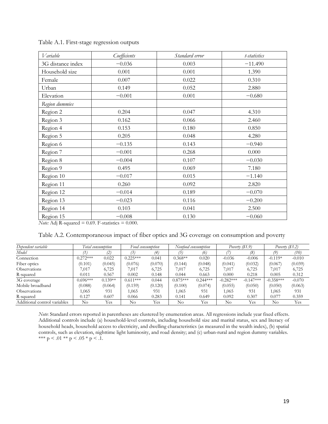| Variable          | Coefficients | Standard error | t-statistics |
|-------------------|--------------|----------------|--------------|
| 3G distance index | $-0.036$     | 0.003          | $-11.490$    |
| Household size    | 0.001        | 0.001          | 1.390        |
| Female            | 0.007        | 0.022          | 0.310        |
| Urban             | 0.149        | 0.052          | 2.880        |
| Elevation         | $-0.001$     | 0.001          | $-0.680$     |
| Region dummies    |              |                |              |
| Region 2          | 0.204        | 0.047          | 4.310        |
| Region 3          | 0.162        | 0.066          | 2.460        |
| Region 4          | 0.153        | 0.180          | 0.850        |
| Region 5          | 0.205        | 0.048          | 4.280        |
| Region 6          | $-0.135$     | 0.143          | $-0.940$     |
| Region 7          | $-0.001$     | 0.268          | 0.000        |
| Region 8          | $-0.004$     | 0.107          | $-0.030$     |
| Region 9          | 0.495        | 0.069          | 7.180        |
| Region 10         | $-0.017$     | 0.015          | $-1.140$     |
| Region 11         | 0.260        | 0.092          | 2.820        |
| Region 12         | $-0.014$     | 0.189          | $-0.070$     |
| Region 13         | $-0.023$     | 0.116          | $-0.200$     |
| Region 14         | 0.103        | 0.041          | 2.500        |
| Region 15         | $-0.008$     | 0.130          | $-0.060$     |

<span id="page-20-0"></span>Table A.1. First-stage regression outputs

*Note:* Adj R-squared = 0.69. F-statistics = 0.000.

| Table A.2. Contemporaneous impact of fiber optics and 3G coverage on consumption and poverty |  |  |  |
|----------------------------------------------------------------------------------------------|--|--|--|
|                                                                                              |  |  |  |

| Dependent variable           |            | Total consumption |            | Food consumption |            | Nontood consumption |             | Poverty $(81.9)$ | Poverty $(\$3.2)$ |          |
|------------------------------|------------|-------------------|------------|------------------|------------|---------------------|-------------|------------------|-------------------|----------|
| Model                        |            | (2)               |            | (4)              |            | (6)                 |             | (8)              | 19.               | (10)     |
| Connection                   | $0.272***$ | 0.022             | $0.225***$ | 0.041            | $0.368**$  | 0.020               | $-0.036$    | $-0.006$         | $-0.119*$         | $-0.010$ |
| Fiber optics                 | (0.101)    | (0.045)           | (0.076)    | (0.070)          | (0.144)    | (0.048)             | (0.041)     | (0.032)          | (0.067)           | (0.039)  |
| <b>Observations</b>          | 7.017      | 6,725             | 7,017      | 6,725            | 7,017      | 6,725               | 7,017       | 6,725            | 7,017             | 6,725    |
| R-squared                    | 0.011      | 0.567             | 0.002      | 0.148            | 0.044      | 0.663               | 0.000       | 0.218            | 0.005             | 0.312    |
| 3G coverage                  | $0.696***$ | $0.139**$         | $0.611***$ | 0.044            | $0.875***$ | $0.244***$          | $-0.282***$ | $-0.147***$      | $-0.358***$       | $-0.070$ |
| Mobile broadband             | (0.088)    | (0.064)           | (0.159)    | (0.120)          | (0.100)    | (0.074)             | (0.055)     | (0.050)          | (0.050)           | (0.063)  |
| <b>Observations</b>          | .065       | 931               | 1,065      | 931              | 1,065      | 931                 | 1,065       | 931              | 1,065             | 931      |
| R-squared                    | 0.127      | 0.607             | 0.066      | 0.283            | 0.141      | 0.649               | 0.092       | 0.307            | 0.077             | 0.359    |
| Additional control variables | No         | Yes               | No         | Yes              | $\rm No$   | Yes                 | $\rm No$    | Yes              | No                | Yes      |

*Note*: Standard errors reported in parentheses are clustered by enumeration areas. All regressions include year fixed effects. Additional controls include (a) household-level controls, including household size and marital status, sex and literacy of household heads, household access to electricity, and dwelling characteristics (as measured in the wealth index), (b) spatial controls, such as elevation, nighttime light luminosity, and road density; and (c) urban-rural and region dummy variables. \*\*\*  $p < .01$  \*\*  $p < .05$  \*  $p < .1$ .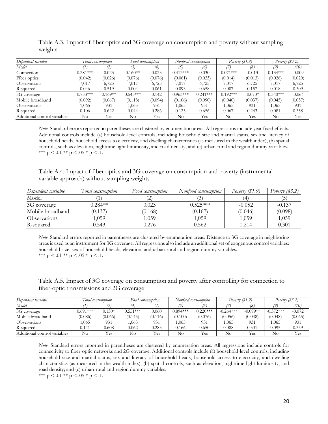| Dependent variable           |            | Total consumption |            | Food consumption |            | Nonfood consumption | Poverty $(81.9)$ |           | Poverty $(\$3.2)$ |          |
|------------------------------|------------|-------------------|------------|------------------|------------|---------------------|------------------|-----------|-------------------|----------|
| Model                        |            | (2)               |            | (4)              | (5)        | (6)                 |                  | (8)       | (9)               | (10)     |
| Connection                   | $0.281***$ | 0.023             | $0.160**$  | 0.023            | $0.412***$ | 0.030               | $-0.071***$      | $-0.013$  | $-0.134***$       | $-0.009$ |
| Fiber optics                 | (0.042)    | (0.026)           | (0.076)    | (0.076)          | (0.061)    | (0.033)             | (0.014)          | (0.013)   | (0.026)           | (0.020)  |
| <b>Observations</b>          | 1,017      | 6,725             | 7.017      | 6,725            | 7,017      | 6,725               | 7,017            | 6,725     | 7,017             | 6,725    |
| R-squared                    | 0.046      | 0.519             | 0.004      | 0.061            | 0.093      | 0.658               | 0.007            | 0.157     | 0.018             | 0.309    |
| 3G coverage                  | $0.753***$ | $0.169**$         | $0.545***$ | 0.142            | $0.963***$ | $0.241***$          | $-0.192***$      | $-0.070*$ | $-0.340***$       | $-0.064$ |
| Mobile broadband             | (0.092)    | (0.067)           | (0.118)    | (0.094)          | (0.106)    | (0.090)             | (0.040)          | (0.037)   | (0.045)           | (0.057)  |
| Observations                 | .065       | 931               | .065       | 931              | 1,065      | 931                 | 1,065            | 931       | 1,065             | 931      |
| R-squared                    | 0.106      | 0.622             | 0.044      | 0.286            | 0.125      | 0.656               | 0.067            | 0.243     | 0.081             | 0.358    |
| Additional control variables | $\rm No$   | Yes               | No         | Yes              | $\rm No$   | Yes                 | $\rm No$         | Yes       | No                | Yes      |

Table A.3. Impact of fiber optics and 3G coverage on consumption and poverty without sampling weights

*Note*: Standard errors reported in parentheses are clustered by enumeration areas. All regressions include year fixed effects. Additional controls include (a) household-level controls, including household size and marital status, sex and literacy of household heads, household access to electricity, and dwelling characteristics (as measured in the wealth index), (b) spatial controls, such as elevation, nighttime light luminosity, and road density; and (c) urban-rural and region dummy variables. \*\*\*  $p < .01$  \*\*  $p < .05$  \*  $p < .1$ .

Table A.4. Impact of fiber optics and 3G coverage on consumption and poverty (instrumental variable approach) without sampling weights

| Dependent variable  | Total consumption | Food consumption | Nonfood consumption | Poverty $(\$1.9)$ | Poverty $(\$3.2)$ |
|---------------------|-------------------|------------------|---------------------|-------------------|-------------------|
| Model               |                   | ∼                |                     |                   | $\overline{5}$    |
| 3G coverage         | $0.284**$         | 0.023            | $0.525***$          | $-0.052$          | $-0.137$          |
| Mobile broadband    | (0.137)           | (0.168)          | (0.167)             | (0.046)           | (0.098)           |
| <b>Observations</b> | 1,059             | 1,059            | 1,059               | 1,059             | 1,059             |
| R-squared           | 0.543             | 0.276            | 0.562               | 0.214             | 0.301             |

*Note*: Standard errors reported in parentheses are clustered by enumeration areas. Distance to 3G coverage in neighboring areas is used as an instrument for 3G coverage. All regressions also include an additional set of exogenous control variables: household size, sex of household heads, elevation, and urban-rural and region dummy variables. \*\*\*  $p < .01$  \*\*  $p < .05$  \*  $p < .1$ .

Table A.5. Impact of 3G coverage on consumption and poverty after controlling for connection to fiber-optic transmissions and 2G coverage

| Dependent variable           |            | l'otal consumption |            | Food consumption |            | Nontood consumption |             | Poverty (\$1.9) | Poverty (\$3.2) |          |
|------------------------------|------------|--------------------|------------|------------------|------------|---------------------|-------------|-----------------|-----------------|----------|
| Model                        |            |                    |            | $\overline{4}$ . |            | 16.                 |             | (8)             |                 | (10)     |
| 3G coverage                  | $0.691***$ | $0.130*$           | $0.551***$ | 0.060            | $0.894***$ | $0.220***$          | $-0.264***$ | $-0.099**$      | $-0.372***$     | $-0.072$ |
| Mobile broadband             | (0.086)    | (0.066)            | (0.145)    | (0.116)          | (0.100)    | (0.076)             | (0.056)     | (0.048)         | (0.048)         | (0.065)  |
| Observations                 | ,065       | 931                | .065       | 931              | 1.065      | 931                 | 1,065       | 931             | 1,065           | 931      |
| R-squared                    | 0.141      | 0.608              | 0.062      | 0.283            | 0.166      | 0.650               | 0.088       | 0.301           | 0.095           | 0.359    |
| Additional control variables | No         | Yes                | No         | Yes              | No         | Yes                 | No          | Yes             | No              | Yes      |

*Note*: Standard errors reported in parentheses are clustered by enumeration areas. All regressions include controls for connectivity to fiber-optic networks and 2G coverage. Additional controls include (a) household-level controls, including household size and marital status, sex and literacy of household heads, household access to electricity, and dwelling characteristics (as measured in the wealth index), (b) spatial controls, such as elevation, nighttime light luminosity, and road density; and (c) urban-rural and region dummy variables.

\*\*\*  $p < .01$  \*\*  $p < .05$  \*  $p < .1$ .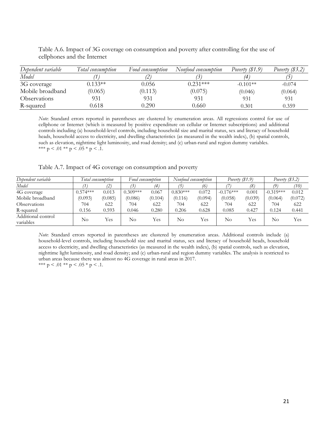| Dependent variable  | Total consumption | Food consumption | Nonfood consumption | Poverty $(\$1.9)$ | Poverty $(\$3.2)$ |
|---------------------|-------------------|------------------|---------------------|-------------------|-------------------|
| Model               |                   |                  |                     | 4                 |                   |
| 3G coverage         | $0.133**$         | 0.056            | $0.231***$          | $-0.101**$        | $-0.074$          |
| Mobile broadband    | (0.065)           | (0.113)          | (0.075)             | (0.046)           | (0.064)           |
| <b>Observations</b> | 931               | 931              | 931                 | 931               | 931               |
| R-squared           | 0.618             | 0.290            | 0.660               | 0.301             | 0.359             |

Table A.6. Impact of 3G coverage on consumption and poverty after controlling for the use of cellphones and the Internet

*Note*: Standard errors reported in parentheses are clustered by enumeration areas. All regressions control for use of cellphone or Internet (which is measured by positive expenditure on cellular or Internet subscriptions) and additional controls including (a) household-level controls, including household size and marital status, sex and literacy of household heads, household access to electricity, and dwelling characteristics (as measured in the wealth index), (b) spatial controls, such as elevation, nighttime light luminosity, and road density; and (c) urban-rural and region dummy variables. \*\*\*  $p < .01$  \*\*  $p < .05$  \*  $p < .1$ .

<span id="page-22-0"></span>Table A.7. Impact of 4G coverage on consumption and poverty

| Dependent variable              | Total consumption |         |            | Food consumption |            | Nonfood consumption | Poverty (\$1.9) |         | Poverty $(\$3.2)$ |         |
|---------------------------------|-------------------|---------|------------|------------------|------------|---------------------|-----------------|---------|-------------------|---------|
| Model                           |                   | (2)     |            | (4)              |            | (6)                 |                 | (8)     | 19                | (10)    |
| 4G coverage                     | $0.574***$        | 0.013   | $0.309***$ | 0.067            | $0.830***$ | 0.072               | $-0.176***$     | 0.001   | $-0.319***$       | 0.012   |
| Mobile broadband                | (0.093)           | (0.085) | (0.086)    | (0.104)          | (0.116)    | (0.094)             | (0.058)         | (0.039) | (0.064)           | (0.072) |
| Observations                    | 704               | 622     | 704        | 622              | 704        | 622                 | 704             | 622     | 704               | 622     |
| R-squared                       | 0.156             | 0.593   | 0.046      | 0.280            | 0.206      | 0.628               | 0.085           | 0.427   | 0.124             | 0.441   |
| Additional control<br>variables | No                | Yes     | No         | Yes              | No         | Yes.                | No              | Yes     | No                | Yes     |

*Note*: Standard errors reported in parentheses are clustered by enumeration areas. Additional controls include (a) household-level controls, including household size and marital status, sex and literacy of household heads, household access to electricity, and dwelling characteristics (as measured in the wealth index), (b) spatial controls, such as elevation, nighttime light luminosity, and road density; and (c) urban-rural and region dummy variables. The analysis is restricted to urban areas because there was almost no 4G coverage in rural areas in 2017. \*\*\*  $p < .01$  \*\*  $p < .05$  \*  $p < .1$ .